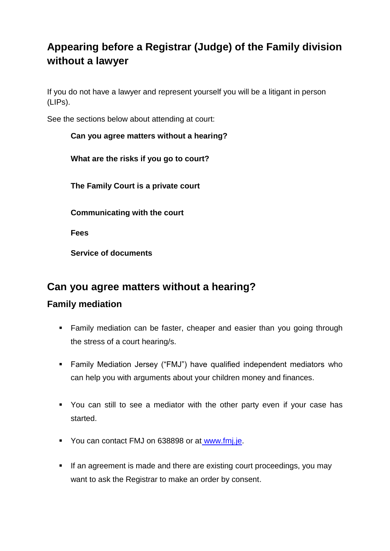# **Appearing before a Registrar (Judge) of the Family division without a lawyer**

If you do not have a lawyer and represent yourself you will be a litigant in person (LIPs).

See the sections below about attending at court:

# **Can you agree matters without a hearing? What are the risks if you go to court? The Family Court is a private court Communicating with the court Fees**

## **Can you agree matters without a hearing?**

### **Family mediation**

**Service of documents**

- **Family mediation can be faster, cheaper and easier than you going through** the stress of a court hearing/s.
- Family Mediation Jersey ("FMJ") have qualified independent mediators who can help you with arguments about your children money and finances.
- You can still to see a mediator with the other party even if your case has started.
- You can contact FMJ on 638898 or at [www.fmj.je.](http://www.fmj.je/)
- If an agreement is made and there are existing court proceedings, you may want to ask the Registrar to make an order by consent.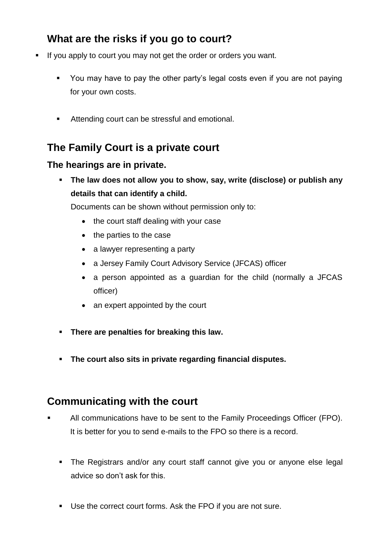## **What are the risks if you go to court?**

- If you apply to court you may not get the order or orders you want.
	- You may have to pay the other party's legal costs even if you are not paying for your own costs.
	- Attending court can be stressful and emotional.

## **The Family Court is a private court**

#### **The hearings are in private.**

 **The law does not allow you to show, say, write (disclose) or publish any details that can identify a child.**

Documents can be shown without permission only to:

- the court staff dealing with your case
- $\bullet$  the parties to the case
- a lawyer representing a party
- a Jersey Family Court Advisory Service (JFCAS) officer
- a person appointed as a guardian for the child (normally a JFCAS officer)
- an expert appointed by the court
- **There are penalties for breaking this law.**
- **The court also sits in private regarding financial disputes.**

#### **Communicating with the court**

- All communications have to be sent to the Family Proceedings Officer (FPO). It is better for you to send e-mails to the FPO so there is a record.
	- The Registrars and/or any court staff cannot give you or anyone else legal advice so don't ask for this.
	- Use the correct court forms. Ask the FPO if you are not sure.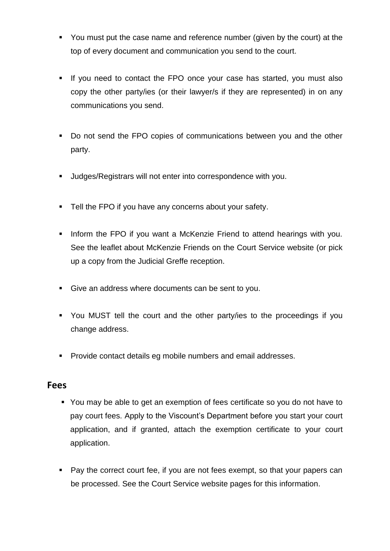- You must put the case name and reference number (given by the court) at the top of every document and communication you send to the court.
- If you need to contact the FPO once your case has started, you must also copy the other party/ies (or their lawyer/s if they are represented) in on any communications you send.
- Do not send the FPO copies of communications between you and the other party.
- Judges/Registrars will not enter into correspondence with you.
- **Tell the FPO if you have any concerns about your safety.**
- Inform the FPO if you want a McKenzie Friend to attend hearings with you. See the leaflet about McKenzie Friends on the Court Service website (or pick up a copy from the Judicial Greffe reception.
- Give an address where documents can be sent to you.
- You MUST tell the court and the other party/ies to the proceedings if you change address.
- **Provide contact details eg mobile numbers and email addresses.**

#### **Fees**

- You may be able to get an exemption of fees certificate so you do not have to pay court fees. Apply to the Viscount's Department before you start your court application, and if granted, attach the exemption certificate to your court application.
- Pay the correct court fee, if you are not fees exempt, so that your papers can be processed. See the Court Service website pages for this information.